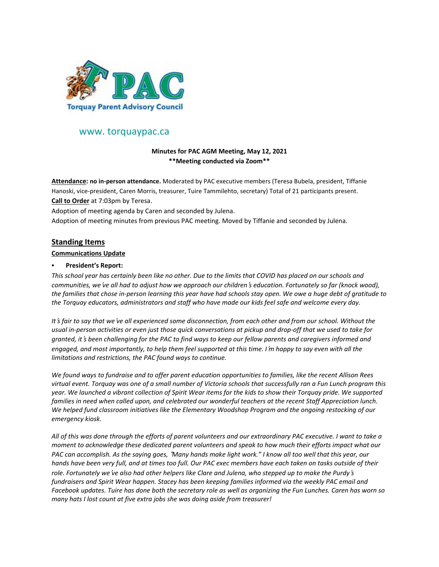

# www. torquaypac.ca

### **Minutes for PAC AGM Meeting, May 12, 2021 \*\*Meeting conducted via Zoom\*\***

**Attendance: no in-person attendance.** Moderated by PAC executive members (Teresa Bubela, president, Tiffanie Hanoski, vice-president, Caren Morris, treasurer, Tuire Tammilehto, secretary) Total of 21 participants present. **Call to Order** at 7:03pm by Teresa.

Adoption of meeting agenda by Caren and seconded by Julena.

Adoption of meeting minutes from previous PAC meeting. Moved by Tiffanie and seconded by Julena.

## **Standing Items**

#### **Communications Update**

### • **President's Report:**

This school year has certainly been like no other. Due to the limits that COVID has placed on our schools and communities, we ve all had to adjust how we approach our children 's education. Fortunately so far (knock wood), the families that chose in-person learning this year have had schools stay open. We owe a huge debt of gratitude to *the Torquay educators, administrators and staff who have made our kids feel safe and welcome every day.*

It's fair to say that we 've all experienced some disconnection, from each other and from our school. Without the usual in-person activities or even just those quick conversations at pickup and drop-off that we used to take for granted, it's been challenging for the PAC to find ways to keep our fellow parents and caregivers informed and engaged, and most importantly, to help them feel supported at this time. I'm happy to say even with all the *limitations and restrictions, the PAC found ways to continue.*

We found ways to fundraise and to offer parent education opportunities to families, like the recent Allison Rees virtual event. Torquay was one of a small number of Victoria schools that successfully ran a Fun Lunch program this year. We launched a vibrant collection of Spirit Wear items for the kids to show their Torquay pride. We supported families in need when called upon, and celebrated our wonderful teachers at the recent Staff Appreciation lunch. *We helped fund classroom initiatives like the Elementary Woodshop Program and the ongoing restocking of our emergency kiosk.*

All of this was done through the efforts of parent volunteers and our extraordinary PAC executive. I want to take a moment to acknowledge these dedicated parent volunteers and speak to how much their efforts impact what our PAC can accomplish. As the saying goes, "Many hands make light work." I know all too well that this year, our hands have been very full, and at times too full. Our PAC exec members have each taken on tasks outside of their role. Fortunately we ve also had other helpers like Clare and Julena, who stepped up to make the Purdy's fundraisers and Spirit Wear happen. Stacey has been keeping families informed via the weekly PAC email and Facebook updates. Tuire has done both the secretary role as well as organizing the Fun Lunches. Caren has worn so *many hats I lost count at five extra jobs she was doing aside from treasurer!*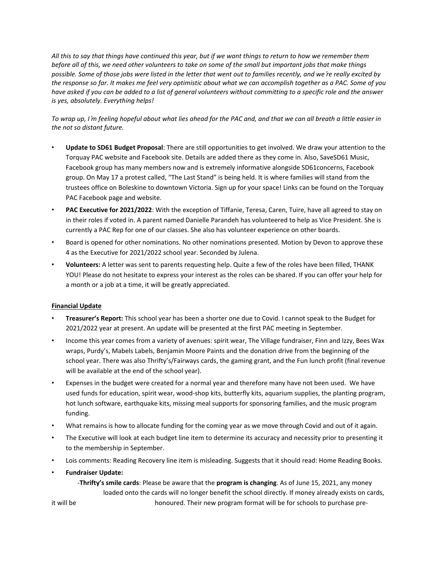All this to say that things have continued this year, but if we want things to return to how we remember them before all of this, we need other volunteers to take on some of the small but important jobs that make things possible. Some of those jobs were listed in the letter that went out to families recently, and we 're really excited by the response so far. It makes me feel very optimistic about what we can accomplish together as a PAC. Some of you have asked if you can be added to a list of general volunteers without committing to a specific role and the answer *is yes, absolutely. Everything helps!*

To wrap up, I'm feeling hopeful about what lies ahead for the PAC and, and that we can all breath a little easier in *the not so distant future.*

- **Update to SD61 Budget Proposal**: There are still opportunities to get involved. We draw your attention to the Torquay PAC website and Facebook site. Details are added there as they come in. Also, SaveSD61 Music, Facebook group has many members now and is extremely informative alongside SD61concerns, Facebook group. On May 17 a protest called, "The Last Stand" is being held. It is where families will stand from the trustees office on Boleskine to downtown Victoria. Sign up for your space! Links can be found on the Torquay PAC Facebook page and website.
- **PAC Executive for 2021/2022**: With the exception of Tiffanie, Teresa, Caren, Tuire, have all agreed to stay on in their roles if voted in. A parent named Danielle Parandeh has volunteered to help as Vice President. She is currently a PAC Rep for one of our classes. She also has volunteer experience on other boards.
- Board is opened for other nominations. No other nominations presented. Motion by Devon to approve these 4 as the Executive for 2021/2022 school year. Seconded by Julena.
- **Volunteers:** A letter was sent to parents requesting help. Quite a few of the roles have been filled, THANK YOU! Please do not hesitate to express your interest as the roles can be shared. If you can offer your help for a month or a job at a time, it will be greatly appreciated.

#### **Financial Update**

- **Treasurer's Report:** This school year has been a shorter one due to Covid. I cannot speak to the Budget for 2021/2022 year at present. An update will be presented at the first PAC meeting in September.
- Income this year comes from a variety of avenues: spirit wear, The Village fundraiser, Finn and Izzy, Bees Wax wraps, Purdy's, Mabels Labels, Benjamin Moore Paints and the donation drive from the beginning of the school year. There was also Thrifty's/Fairways cards, the gaming grant, and the Fun lunch profit (final revenue will be available at the end of the school year).
- Expenses in the budget were created for a normal year and therefore many have not been used. We have used funds for education, spirit wear, wood-shop kits, butterfly kits, aquarium supplies, the planting program, hot lunch software, earthquake kits, missing meal supports for sponsoring families, and the music program funding.
- What remains is how to allocate funding for the coming year as we move through Covid and out of it again.
- The Executive will look at each budget line item to determine its accuracy and necessity prior to presenting it to the membership in September.
- Lois comments: Reading Recovery line item is misleading. Suggests that it should read: Home Reading Books.
- **Fundraiser Update:**
	- -**Thrifty's smile cards**: Please be aware that the **program is changing**. As of June 15, 2021, any money loaded onto the cards will no longer benefit the school directly. If money already exists on cards,

it will be honoured. Their new program format will be for schools to purchase pre-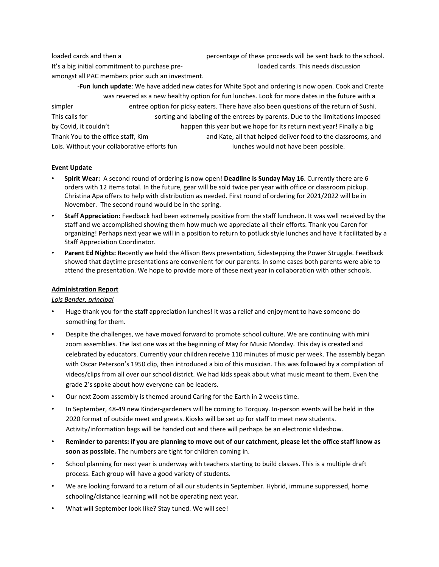loaded cards and then a percentage of these proceeds will be sent back to the school. It's a big initial commitment to purchase pre-<br>
loaded cards. This needs discussion amongst all PAC members prior such an investment.

-**Fun lunch update**: We have added new dates for White Spot and ordering is now open. Cook and Create was revered as a new healthy option for fun lunches. Look for more dates in the future with a simpler entree option for picky eaters. There have also been questions of the return of Sushi. This calls for sorting and labeling of the entrees by parents. Due to the limitations imposed by Covid, it couldn't happen this year but we hope for its return next year! Finally a big Thank You to the office staff, Kim and Kate, all that helped deliver food to the classrooms, and Lois. Without your collaborative efforts fun<br>
lunches would not have been possible.

#### **Event Update**

- **Spirit Wear:** A second round of ordering is now open! **Deadline is Sunday May 16**. Currently there are 6 orders with 12 items total. In the future, gear will be sold twice per year with office or classroom pickup. Christina Apa offers to help with distribution as needed. First round of ordering for 2021/2022 will be in November. The second round would be in the spring.
- **Staff Appreciation:** Feedback had been extremely positive from the staff luncheon. It was well received by the staff and we accomplished showing them how much we appreciate all their efforts. Thank you Caren for organizing! Perhaps next year we will in a position to return to potluck style lunches and have it facilitated by a Staff Appreciation Coordinator.
- **Parent Ed Nights: R**ecently we held the Allison Revs presentation, Sidestepping the Power Struggle. Feedback showed that daytime presentations are convenient for our parents. In some cases both parents were able to attend the presentation. We hope to provide more of these next year in collaboration with other schools.

#### **Administration Report**

#### *Lois Bender, principal*

- Huge thank you for the staff appreciation lunches! It was a relief and enjoyment to have someone do something for them.
- Despite the challenges, we have moved forward to promote school culture. We are continuing with mini zoom assemblies. The last one was at the beginning of May for Music Monday. This day is created and celebrated by educators. Currently your children receive 110 minutes of music per week. The assembly began with Oscar Peterson's 1950 clip, then introduced a bio of this musician. This was followed by a compilation of videos/clips from all over our school district. We had kids speak about what music meant to them. Even the grade 2's spoke about how everyone can be leaders.
- Our next Zoom assembly is themed around Caring for the Earth in 2 weeks time.
- In September, 48-49 new Kinder-gardeners will be coming to Torquay. In-person events will be held in the 2020 format of outside meet and greets. Kiosks will be set up for staff to meet new students. Activity/information bags will be handed out and there will perhaps be an electronic slideshow.
- Reminder to parents: if you are planning to move out of our catchment, please let the office staff know as **soon as possible.** The numbers are tight for children coming in.
- School planning for next year is underway with teachers starting to build classes. This is a multiple draft process. Each group will have a good variety of students.
- We are looking forward to a return of all our students in September. Hybrid, immune suppressed, home schooling/distance learning will not be operating next year.
- What will September look like? Stay tuned. We will see!